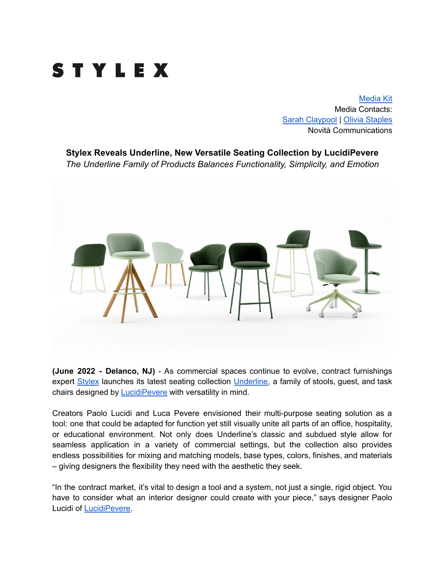

[Media](https://www.dropbox.com/sh/fm02sx7o913hkiv/AADahA9TB3deLUvhsgAG7-9ya?dl=0) Kit Media Contacts: Sarah [Claypool](mailto:sarah@novitapr.com) | Olivia [Staples](mailto:olivia@novitapr.com) Novità Communications

**Stylex Reveals Underline, New Versatile Seating Collection by LucidiPevere** *The Underline Family of Products Balances Functionality, Simplicity, and Emotion*



**(June 2022 - Delanco, NJ)** - As commercial spaces continue to evolve, contract furnishings expert [Stylex](https://www.stylexseating.com/) launches its latest seating collection [Underline,](https://www.stylexseating.com/products/underline/) a family of stools, quest, and task chairs designed by [LucidiPevere](https://www.stylexseating.com/designers/lucidipevere/) with versatility in mind.

Creators Paolo Lucidi and Luca Pevere envisioned their multi-purpose seating solution as a tool: one that could be adapted for function yet still visually unite all parts of an office, hospitality, or educational environment. Not only does Underline's classic and subdued style allow for seamless application in a variety of commercial settings, but the collection also provides endless possibilities for mixing and matching models, base types, colors, finishes, and materials – giving designers the flexibility they need with the aesthetic they seek.

"In the contract market, it's vital to design a tool and a system, not just a single, rigid object. You have to consider what an interior designer could create with your piece," says designer Paolo Lucidi of [LucidiPevere.](https://www.stylexseating.com/designers/lucidipevere/)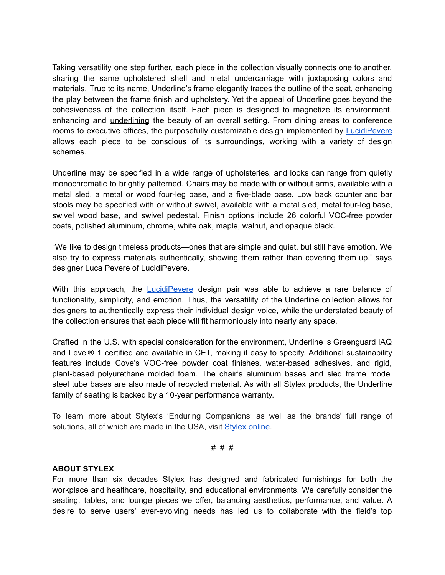Taking versatility one step further, each piece in the collection visually connects one to another, sharing the same upholstered shell and metal undercarriage with juxtaposing colors and materials. True to its name, Underline's frame elegantly traces the outline of the seat, enhancing the play between the frame finish and upholstery. Yet the appeal of Underline goes beyond the cohesiveness of the collection itself. Each piece is designed to magnetize its environment, enhancing and underlining the beauty of an overall setting. From dining areas to conference rooms to executive offices, the purposefully customizable design implemented by **[LucidiPevere](https://www.stylexseating.com/designers/lucidipevere/)** allows each piece to be conscious of its surroundings, working with a variety of design schemes.

Underline may be specified in a wide range of upholsteries, and looks can range from quietly monochromatic to brightly patterned. Chairs may be made with or without arms, available with a metal sled, a metal or wood four-leg base, and a five-blade base. Low back counter and bar stools may be specified with or without swivel, available with a metal sled, metal four-leg base, swivel wood base, and swivel pedestal. Finish options include 26 colorful VOC-free powder coats, polished aluminum, chrome, white oak, maple, walnut, and opaque black.

"We like to design timeless products—ones that are simple and quiet, but still have emotion. We also try to express materials authentically, showing them rather than covering them up," says designer Luca Pevere of LucidiPevere.

With this approach, the [LucidiPevere](https://www.stylexseating.com/designers/lucidipevere/) design pair was able to achieve a rare balance of functionality, simplicity, and emotion. Thus, the versatility of the Underline collection allows for designers to authentically express their individual design voice, while the understated beauty of the collection ensures that each piece will fit harmoniously into nearly any space.

Crafted in the U.S. with special consideration for the environment, Underline is Greenguard IAQ and Level® 1 certified and available in CET, making it easy to specify. Additional sustainability features include Cove's VOC-free powder coat finishes, water-based adhesives, and rigid, plant-based polyurethane molded foam. The chair's aluminum bases and sled frame model steel tube bases are also made of recycled material. As with all Stylex products, the Underline family of seating is backed by a 10-year performance warranty.

To learn more about Stylex's 'Enduring Companions' as well as the brands' full range of solutions, all of which are made in the USA, visit [Stylex](http://stylexseating.com/) online.

# # #

## **ABOUT STYLEX**

For more than six decades Stylex has designed and fabricated furnishings for both the workplace and healthcare, hospitality, and educational environments. We carefully consider the seating, tables, and lounge pieces we offer, balancing aesthetics, performance, and value. A desire to serve users' ever-evolving needs has led us to collaborate with the field's top